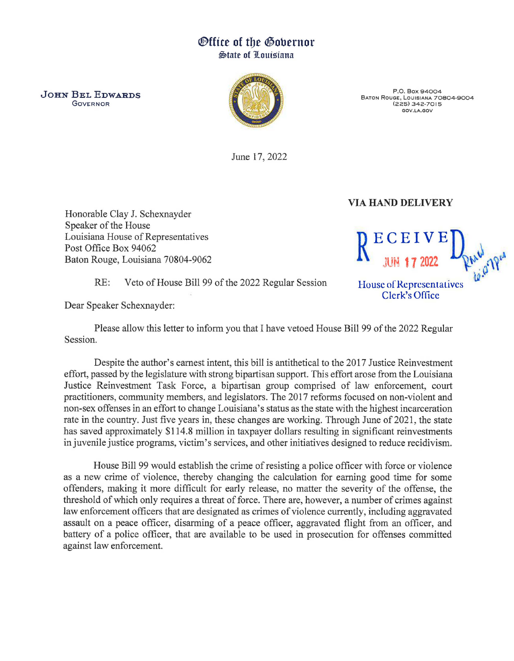## *<u>Office of the Gobernor</u>* ~tate of 1Louisiana

JOHN BEL EDWARDS GOVERNOR



P.O. Box 94004 BATON ROUGE, LOUISIANA 70804-9004 (225) 342-7015 GOV.LA.GOV

June 17, 2022

## VIA HAND DELIVERY

Honorable Clay J. Schexnayder Speaker of the House Louisiana House of Representatives Post Office Box 94062 Baton Rouge, Louisiana 70804-9062

RE: Veto of House Bill 99 of the 2022 Regular Session

Dear Speaker Schexnayder:

Please allow this letter to inform you that I have vetoed House Bill 99 of the 2022 Regular Session.

Despite the author's earnest intent, this bill is antithetical to the 2017 Justice Reinvestment effort, passed by the legislature with strong bipartisan support. This effort arose from the Louisiana Justice Reinvestment Task Force, a bipartisan group comprised of law enforcement, court practitioners, community members, and legislators. The 2017 reforms focused on non-violent and non-sex offenses in an effort to change Louisiana's status as the state with the highest incarceration rate in the country. Just five years in, these changes are working. Through June of 2021, the state has saved approximately \$114.8 million in taxpayer dollars resulting in significant reinvestments in juvenile justice programs, victim's services, and other initiatives designed to reduce recidivism.

House Bill 99 would establish the crime of resisting a police officer with force or violence as a new crime of violence, thereby changing the calculation for earning good time for some offenders, making it more difficult for early release, no matter the severity of the offense, the threshold of which only requires a threat of force. There are, however, a number of crimes against law enforcement officers that are designated as crimes of violence currently, including aggravated assault on a peace officer, disarming of a peace officer, aggravated flight from an officer, and battery of a police officer, that are available to be used in prosecution for offenses committed against law enforcement.



House of Rcprcscntalivcs Clerk's Office